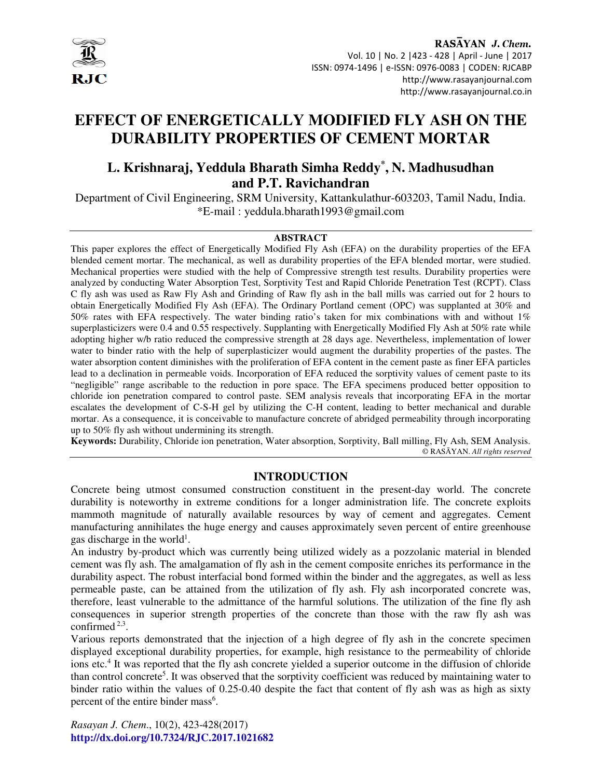

RASAYAN J. Chem. Vol. 10 | No. 2 |423 - 428 | April - June | 2017 ISSN: 0974-1496 | e-ISSN: 0976-0083 | CODEN: RJCABP http://www.rasayanjournal.com http://www.rasayanjournal.co.in

# **EFFECT OF ENERGETICALLY MODIFIED FLY ASH ON THE DURABILITY PROPERTIES OF CEMENT MORTAR**

# **L. Krishnaraj, Yeddula Bharath Simha Reddy\* , N. Madhusudhan and P.T. Ravichandran**

Department of Civil Engineering, SRM University, Kattankulathur-603203, Tamil Nadu, India. \*E-mail : yeddula.bharath1993@gmail.com

#### **ABSTRACT**

This paper explores the effect of Energetically Modified Fly Ash (EFA) on the durability properties of the EFA blended cement mortar. The mechanical, as well as durability properties of the EFA blended mortar, were studied. Mechanical properties were studied with the help of Compressive strength test results. Durability properties were analyzed by conducting Water Absorption Test, Sorptivity Test and Rapid Chloride Penetration Test (RCPT). Class C fly ash was used as Raw Fly Ash and Grinding of Raw fly ash in the ball mills was carried out for 2 hours to obtain Energetically Modified Fly Ash (EFA). The Ordinary Portland cement (OPC) was supplanted at 30% and 50% rates with EFA respectively. The water binding ratio's taken for mix combinations with and without 1% superplasticizers were 0.4 and 0.55 respectively. Supplanting with Energetically Modified Fly Ash at 50% rate while adopting higher w/b ratio reduced the compressive strength at 28 days age. Nevertheless, implementation of lower water to binder ratio with the help of superplasticizer would augment the durability properties of the pastes. The water absorption content diminishes with the proliferation of EFA content in the cement paste as finer EFA particles lead to a declination in permeable voids. Incorporation of EFA reduced the sorptivity values of cement paste to its "negligible" range ascribable to the reduction in pore space. The EFA specimens produced better opposition to chloride ion penetration compared to control paste. SEM analysis reveals that incorporating EFA in the mortar escalates the development of C-S-H gel by utilizing the C-H content, leading to better mechanical and durable mortar. As a consequence, it is conceivable to manufacture concrete of abridged permeability through incorporating up to 50% fly ash without undermining its strength.

**Keywords:** Durability, Chloride ion penetration, Water absorption, Sorptivity, Ball milling, Fly Ash, SEM Analysis. © RASĀYAN. *All rights reserved*

## **INTRODUCTION**

Concrete being utmost consumed construction constituent in the present-day world. The concrete durability is noteworthy in extreme conditions for a longer administration life. The concrete exploits mammoth magnitude of naturally available resources by way of cement and aggregates. Cement manufacturing annihilates the huge energy and causes approximately seven percent of entire greenhouse gas discharge in the world<sup>1</sup>.

An industry by-product which was currently being utilized widely as a pozzolanic material in blended cement was fly ash. The amalgamation of fly ash in the cement composite enriches its performance in the durability aspect. The robust interfacial bond formed within the binder and the aggregates, as well as less permeable paste, can be attained from the utilization of fly ash. Fly ash incorporated concrete was, therefore, least vulnerable to the admittance of the harmful solutions. The utilization of the fine fly ash consequences in superior strength properties of the concrete than those with the raw fly ash was confirmed 2,3 .

Various reports demonstrated that the injection of a high degree of fly ash in the concrete specimen displayed exceptional durability properties, for example, high resistance to the permeability of chloride ions etc.<sup>4</sup> It was reported that the fly ash concrete yielded a superior outcome in the diffusion of chloride than control concrete<sup>5</sup>. It was observed that the sorptivity coefficient was reduced by maintaining water to binder ratio within the values of 0.25-0.40 despite the fact that content of fly ash was as high as sixty percent of the entire binder mass<sup>6</sup>.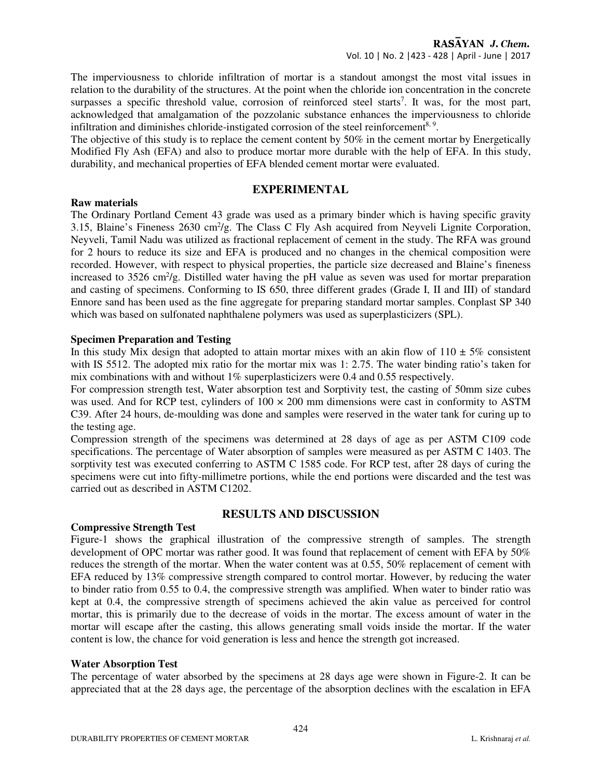The imperviousness to chloride infiltration of mortar is a standout amongst the most vital issues in relation to the durability of the structures. At the point when the chloride ion concentration in the concrete surpasses a specific threshold value, corrosion of reinforced steel starts<sup>7</sup>. It was, for the most part, acknowledged that amalgamation of the pozzolanic substance enhances the imperviousness to chloride infiltration and diminishes chloride-instigated corrosion of the steel reinforcement<sup>8, 9</sup>.

The objective of this study is to replace the cement content by 50% in the cement mortar by Energetically Modified Fly Ash (EFA) and also to produce mortar more durable with the help of EFA. In this study, durability, and mechanical properties of EFA blended cement mortar were evaluated.

# **EXPERIMENTAL**

#### **Raw materials**

The Ordinary Portland Cement 43 grade was used as a primary binder which is having specific gravity 3.15, Blaine's Fineness 2630 cm<sup>2</sup>/g. The Class C Fly Ash acquired from Neyveli Lignite Corporation, Neyveli, Tamil Nadu was utilized as fractional replacement of cement in the study. The RFA was ground for 2 hours to reduce its size and EFA is produced and no changes in the chemical composition were recorded. However, with respect to physical properties, the particle size decreased and Blaine's fineness increased to 3526 cm<sup>2</sup>/g. Distilled water having the pH value as seven was used for mortar preparation and casting of specimens. Conforming to IS 650, three different grades (Grade I, II and III) of standard Ennore sand has been used as the fine aggregate for preparing standard mortar samples. Conplast SP 340 which was based on sulfonated naphthalene polymers was used as superplasticizers (SPL).

#### **Specimen Preparation and Testing**

In this study Mix design that adopted to attain mortar mixes with an akin flow of  $110 \pm 5\%$  consistent with IS 5512. The adopted mix ratio for the mortar mix was 1: 2.75. The water binding ratio's taken for mix combinations with and without  $1\%$  superplasticizers were 0.4 and 0.55 respectively.

For compression strength test, Water absorption test and Sorptivity test, the casting of 50mm size cubes was used. And for RCP test, cylinders of  $100 \times 200$  mm dimensions were cast in conformity to ASTM C39. After 24 hours, de-moulding was done and samples were reserved in the water tank for curing up to the testing age.

Compression strength of the specimens was determined at 28 days of age as per ASTM C109 code specifications. The percentage of Water absorption of samples were measured as per ASTM C 1403. The sorptivity test was executed conferring to ASTM C 1585 code. For RCP test, after 28 days of curing the specimens were cut into fifty-millimetre portions, while the end portions were discarded and the test was carried out as described in ASTM C1202.

# **RESULTS AND DISCUSSION**

# **Compressive Strength Test**  Figure-1 shows the graphical illustration of the compressive strength of samples. The strength

development of OPC mortar was rather good. It was found that replacement of cement with EFA by 50% reduces the strength of the mortar. When the water content was at 0.55, 50% replacement of cement with EFA reduced by 13% compressive strength compared to control mortar. However, by reducing the water to binder ratio from 0.55 to 0.4, the compressive strength was amplified. When water to binder ratio was kept at 0.4, the compressive strength of specimens achieved the akin value as perceived for control mortar, this is primarily due to the decrease of voids in the mortar. The excess amount of water in the mortar will escape after the casting, this allows generating small voids inside the mortar. If the water content is low, the chance for void generation is less and hence the strength got increased.

#### **Water Absorption Test**

The percentage of water absorbed by the specimens at 28 days age were shown in Figure-2. It can be appreciated that at the 28 days age, the percentage of the absorption declines with the escalation in EFA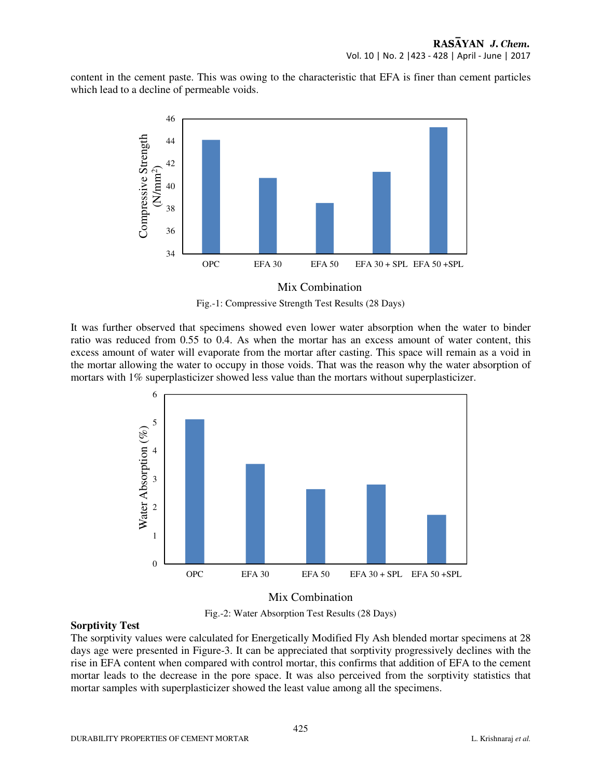content in the cement paste. This was owing to the characteristic that EFA is finer than cement particles which lead to a decline of permeable voids.



## Mix Combination



It was further observed that specimens showed even lower water absorption when the water to binder ratio was reduced from 0.55 to 0.4. As when the mortar has an excess amount of water content, this excess amount of water will evaporate from the mortar after casting. This space will remain as a void in the mortar allowing the water to occupy in those voids. That was the reason why the water absorption of mortars with 1% superplasticizer showed less value than the mortars without superplasticizer.



# Mix Combination

Fig.-2: Water Absorption Test Results (28 Days)

# **Sorptivity Test**

The sorptivity values were calculated for Energetically Modified Fly Ash blended mortar specimens at 28 days age were presented in Figure-3. It can be appreciated that sorptivity progressively declines with the rise in EFA content when compared with control mortar, this confirms that addition of EFA to the cement mortar leads to the decrease in the pore space. It was also perceived from the sorptivity statistics that mortar samples with superplasticizer showed the least value among all the specimens.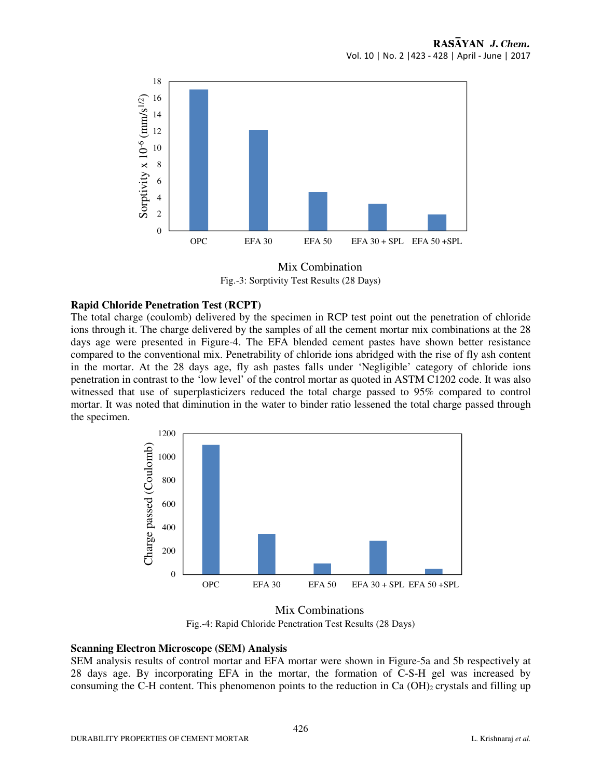

Fig.-3: Sorptivity Test Results (28 Days) Mix Combination

## **Rapid Chloride Penetration Test (RCPT)**

The total charge (coulomb) delivered by the specimen in RCP test point out the penetration of chloride ions through it. The charge delivered by the samples of all the cement mortar mix combinations at the 28 days age were presented in Figure-4. The EFA blended cement pastes have shown better resistance compared to the conventional mix. Penetrability of chloride ions abridged with the rise of fly ash content in the mortar. At the 28 days age, fly ash pastes falls under 'Negligible' category of chloride ions penetration in contrast to the 'low level' of the control mortar as quoted in ASTM C1202 code. It was also witnessed that use of superplasticizers reduced the total charge passed to 95% compared to control mortar. It was noted that diminution in the water to binder ratio lessened the total charge passed through the specimen.



Fig.-4: Rapid Chloride Penetration Test Results (28 Days) Mix Combinations

#### **Scanning Electron Microscope (SEM) Analysis**

SEM analysis results of control mortar and EFA mortar were shown in Figure-5a and 5b respectively at 28 days age. By incorporating EFA in the mortar, the formation of C-S-H gel was increased by consuming the C-H content. This phenomenon points to the reduction in Ca  $(OH)_2$  crystals and filling up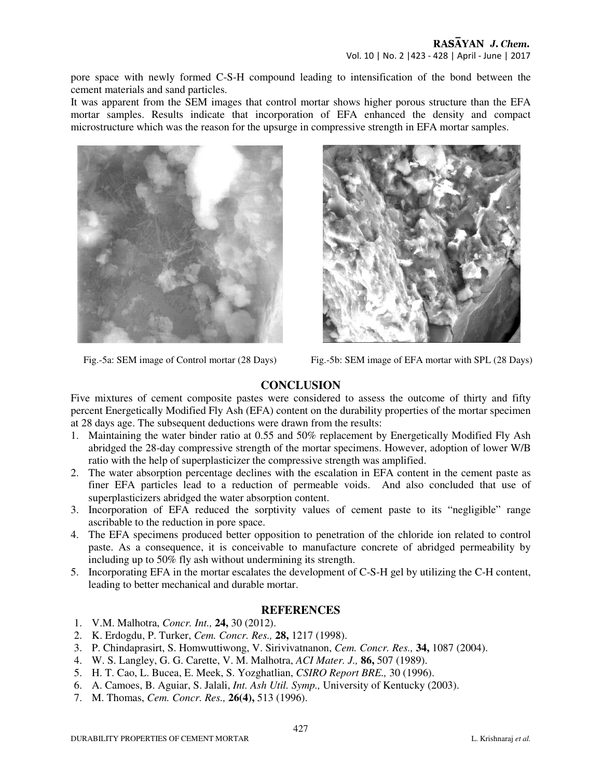pore space with newly formed C-S-H compound leading to intensification of the bond between the cement materials and sand particles.

It was apparent from the SEM images that control mortar shows higher porous structure than the EFA mortar samples. Results indicate that incorporation of EFA enhanced the density and compact microstructure which was the reason for the upsurge in compressive strength in EFA mortar samples.





Fig.-5a: SEM image of Control mortar (28 Days) Fig.-5b: SEM image of EFA mortar with SPL (28 Days)

# **CONCLUSION**

Five mixtures of cement composite pastes were considered to assess the outcome of thirty and fifty percent Energetically Modified Fly Ash (EFA) content on the durability properties of the mortar specimen at 28 days age. The subsequent deductions were drawn from the results:

- 1. Maintaining the water binder ratio at 0.55 and 50% replacement by Energetically Modified Fly Ash abridged the 28-day compressive strength of the mortar specimens. However, adoption of lower W/B ratio with the help of superplasticizer the compressive strength was amplified.
- 2. The water absorption percentage declines with the escalation in EFA content in the cement paste as finer EFA particles lead to a reduction of permeable voids. And also concluded that use of superplasticizers abridged the water absorption content.
- 3. Incorporation of EFA reduced the sorptivity values of cement paste to its "negligible" range ascribable to the reduction in pore space.
- 4. The EFA specimens produced better opposition to penetration of the chloride ion related to control paste. As a consequence, it is conceivable to manufacture concrete of abridged permeability by including up to 50% fly ash without undermining its strength.
- 5. Incorporating EFA in the mortar escalates the development of C-S-H gel by utilizing the C-H content, leading to better mechanical and durable mortar.

## **REFERENCES**

- 1. V.M. Malhotra, *Concr. Int.,* **24,** 30 (2012).
- 2. K. Erdogdu, P. Turker, *Cem. Concr. Res.,* **28,** 1217 (1998).
- 3. P. Chindaprasirt, S. Homwuttiwong, V. Sirivivatnanon, *Cem. Concr. Res.,* **34,** 1087 (2004).
- 4. W. S. Langley, G. G. Carette, V. M. Malhotra, *ACI Mater. J.,* **86,** 507 (1989).
- 5. H. T. Cao, L. Bucea, E. Meek, S. Yozghatlian, *CSIRO Report BRE.,* 30 (1996).
- 6. A. Camoes, B. Aguiar, S. Jalali, *Int. Ash Util. Symp.,* University of Kentucky (2003).
- 7. M. Thomas, *Cem. Concr. Res.,* **26(4),** 513 (1996).